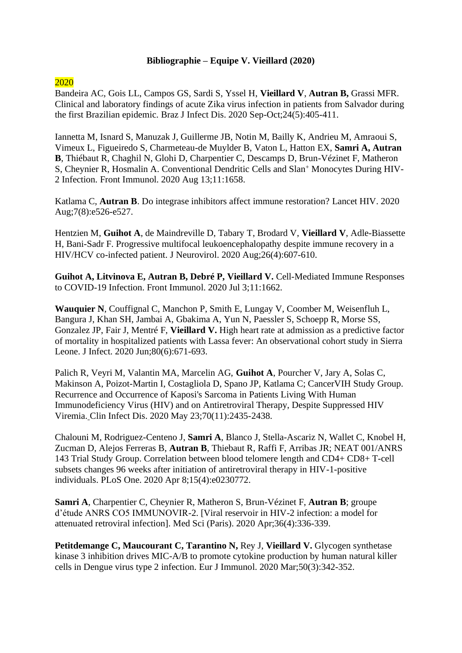## **Bibliographie – Equipe V. Vieillard (2020)**

## 2020

Bandeira AC, Gois LL, Campos GS, Sardi S, Yssel H, **Vieillard V**, **Autran B,** Grassi MFR. [Clinical and laboratory findings of acute Zika virus infection in patients from Salvador during](https://pubmed.ncbi.nlm.nih.gov/32941805/)  [the first Brazilian epidemic. B](https://pubmed.ncbi.nlm.nih.gov/32941805/)raz J Infect Dis. 2020 Sep-Oct;24(5):405-411.

Iannetta M, Isnard S, Manuzak J, Guillerme JB, Notin M, Bailly K, Andrieu M, Amraoui S, Vimeux L, Figueiredo S, Charmeteau-de Muylder B, Vaton L, Hatton EX, **Samri A, Autran B**, Thiébaut R, Chaghil N, Glohi D, Charpentier C, Descamps D, Brun-Vézinet F, Matheron S, Cheynier R, Hosmalin A. [Conventional Dendritic Cells and Slan](https://pubmed.ncbi.nlm.nih.gov/32903610/)<sup>+</sup> Monocytes During HIV-[2 Infection. F](https://pubmed.ncbi.nlm.nih.gov/32903610/)ront Immunol. 2020 Aug 13;11:1658.

Katlama C, **Autran B**. [Do integrase inhibitors affect immune restoration? L](https://pubmed.ncbi.nlm.nih.gov/32763212/)ancet HIV. 2020 Aug;7(8):e526-e527.

Hentzien M, **Guihot A**, de Maindreville D, Tabary T, Brodard V, **Vieillard V**, Adle-Biassette H, Bani-Sadr F. [Progressive multifocal leukoencephalopathy despite immune recovery in a](https://pubmed.ncbi.nlm.nih.gov/32458280/)  [HIV/HCV co-infected patient. J](https://pubmed.ncbi.nlm.nih.gov/32458280/) Neurovirol. 2020 Aug;26(4):607-610.

**Guihot A, Litvinova E, Autran B, Debré P, Vieillard V.** [Cell-Mediated Immune Responses](https://pubmed.ncbi.nlm.nih.gov/32719687/)  [to COVID-19 Infection. F](https://pubmed.ncbi.nlm.nih.gov/32719687/)ront Immunol. 2020 Jul 3;11:1662.

**Wauquier N**, Couffignal C, Manchon P, Smith E, Lungay V, Coomber M, Weisenfluh L, Bangura J, Khan SH, Jambai A, Gbakima A, Yun N, Paessler S, Schoepp R, Morse SS, Gonzalez JP, Fair J, Mentré F, **Vieillard V.** [High heart rate at admission as a predictive factor](https://pubmed.ncbi.nlm.nih.gov/32027872/)  [of mortality in hospitalized patients with Lassa fever: An observational cohort study in Sierra](https://pubmed.ncbi.nlm.nih.gov/32027872/)  [Leone. J](https://pubmed.ncbi.nlm.nih.gov/32027872/) Infect. 2020 Jun;80(6):671-693.

Palich R, Veyri M, Valantin MA, Marcelin AG, **Guihot A**, Pourcher V, Jary A, Solas C, Makinson A, Poizot-Martin I, Costagliola D, Spano JP, Katlama C; CancerVIH Study Group. [Recurrence and Occurrence of Kaposi's Sarcoma in Patients Living With Human](https://pubmed.ncbi.nlm.nih.gov/31626689/)  [Immunodeficiency Virus \(HIV\) and on Antiretroviral Therapy, Despite Suppressed HIV](https://pubmed.ncbi.nlm.nih.gov/31626689/)  [Viremia.](https://pubmed.ncbi.nlm.nih.gov/31626689/) Clin Infect Dis. 2020 May 23;70(11):2435-2438.

Chalouni M, Rodriguez-Centeno J, **Samri A**, Blanco J, Stella-Ascariz N, Wallet C, Knobel H, Zucman D, Alejos Ferreras B, **Autran B**, Thiebaut R, Raffi F, Arribas JR; NEAT 001/ANRS 143 Trial Study Group. [Correlation between blood telomere length and CD4+ CD8+ T-cell](https://pubmed.ncbi.nlm.nih.gov/32267847/)  [subsets changes 96 weeks after initiation of antiretroviral therapy in HIV-1-positive](https://pubmed.ncbi.nlm.nih.gov/32267847/)  [individuals. P](https://pubmed.ncbi.nlm.nih.gov/32267847/)LoS One. 2020 Apr 8;15(4):e0230772.

**Samri A**, Charpentier C, Cheynier R, Matheron S, Brun-Vézinet F, **Autran B**; groupe d'étude ANRS CO5 IMMUNOVIR-2. [\[Viral reservoir in HIV-2 infection: a model for](https://pubmed.ncbi.nlm.nih.gov/32356709/)  [attenuated retroviral infection\]. M](https://pubmed.ncbi.nlm.nih.gov/32356709/)ed Sci (Paris). 2020 Apr;36(4):336-339.

**Petitdemange C, Maucourant C, Tarantino N,** Rey J, **Vieillard V.** [Glycogen synthetase](https://pubmed.ncbi.nlm.nih.gov/31743425/)  [kinase 3 inhibition drives MIC-A/B to promote cytokine production by human natural killer](https://pubmed.ncbi.nlm.nih.gov/31743425/)  [cells in Dengue virus type 2 infection. E](https://pubmed.ncbi.nlm.nih.gov/31743425/)ur J Immunol. 2020 Mar;50(3):342-352.